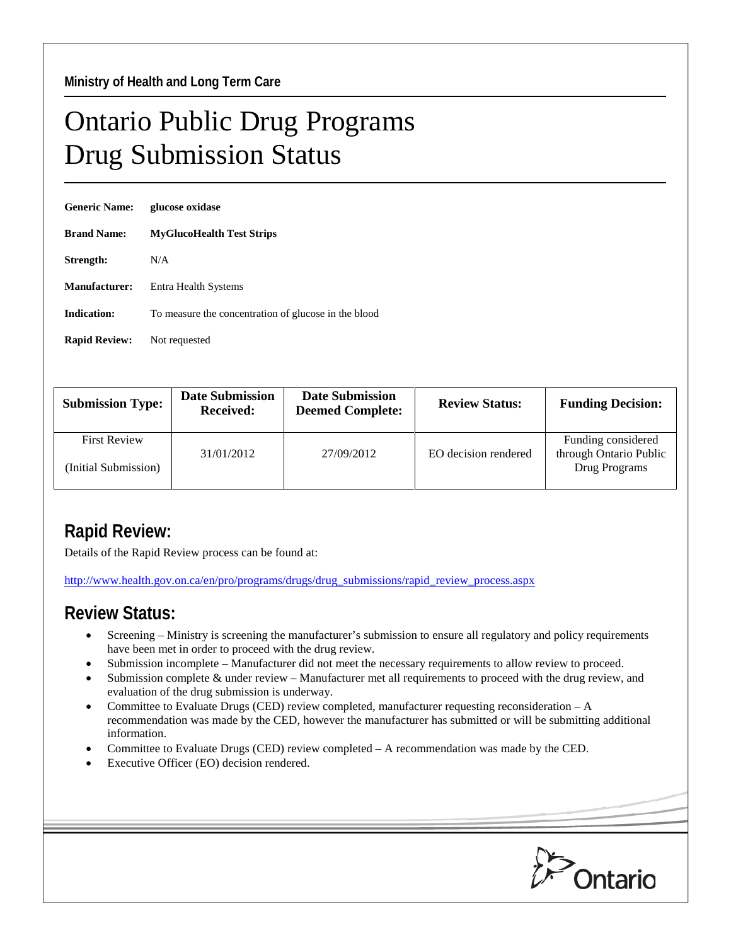## Ontario Public Drug Programs Drug Submission Status

| <b>Generic Name:</b> | glucose oxidase                                      |  |  |
|----------------------|------------------------------------------------------|--|--|
| <b>Brand Name:</b>   | <b>MyGlucoHealth Test Strips</b>                     |  |  |
| Strength:            | N/A                                                  |  |  |
| <b>Manufacturer:</b> | Entra Health Systems                                 |  |  |
| <b>Indication:</b>   | To measure the concentration of glucose in the blood |  |  |
| <b>Rapid Review:</b> | Not requested                                        |  |  |

| <b>Submission Type:</b>                     | <b>Date Submission</b><br><b>Received:</b> | <b>Date Submission</b><br><b>Deemed Complete:</b> | <b>Review Status:</b> | <b>Funding Decision:</b>                     |
|---------------------------------------------|--------------------------------------------|---------------------------------------------------|-----------------------|----------------------------------------------|
| <b>First Review</b><br>(Initial Submission) | 31/01/2012                                 | 27/09/2012                                        | EO decision rendered  | Funding considered<br>through Ontario Public |
|                                             |                                            |                                                   |                       | Drug Programs                                |

## **Rapid Review:**

Details of the Rapid Review process can be found at:

[http://www.health.gov.on.ca/en/pro/programs/drugs/drug\\_submissions/rapid\\_review\\_process.aspx](http://www.health.gov.on.ca/en/pro/programs/drugs/drug_submissions/rapid_review_process.aspx)

## **Review Status:**

- Screening Ministry is screening the manufacturer's submission to ensure all regulatory and policy requirements have been met in order to proceed with the drug review.
- Submission incomplete Manufacturer did not meet the necessary requirements to allow review to proceed.
- Submission complete & under review Manufacturer met all requirements to proceed with the drug review, and evaluation of the drug submission is underway.
- Committee to Evaluate Drugs (CED) review completed, manufacturer requesting reconsideration  $-A$ recommendation was made by the CED, however the manufacturer has submitted or will be submitting additional information.
- Committee to Evaluate Drugs (CED) review completed A recommendation was made by the CED.
- Executive Officer (EO) decision rendered.